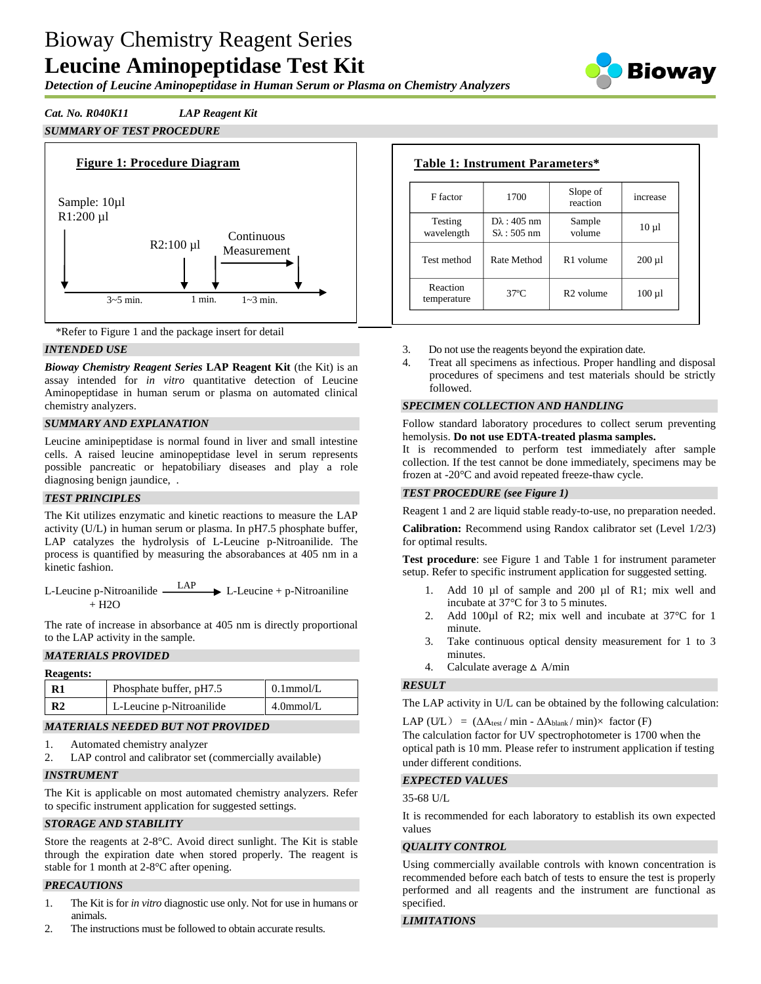# Bioway Chemistry Reagent Series **Leucine Aminopeptidase Test Kit**

*Detection of Leucine Aminopeptidase in Human Serum or Plasma on Chemistry Analyzers*



# *Cat. No. R040K11 LAP Reagent Kit*

# *SUMMARY OF TEST PROCEDURE*





## *INTENDED USE*

*Bioway Chemistry Reagent Series* **LAP Reagent Kit** (the Kit) is an assay intended for *in vitro* quantitative detection of Leucine Aminopeptidase in human serum or plasma on automated clinical chemistry analyzers.

## *SUMMARY AND EXPLANATION*

Leucine aminipeptidase is normal found in liver and small intestine cells. A raised leucine aminopeptidase level in serum represents possible pancreatic or hepatobiliary diseases and play a role diagnosing benign jaundice, .

#### *TEST PRINCIPLES*

The Kit utilizes enzymatic and kinetic reactions to measure the LAP activity (U/L) in human serum or plasma. In pH7.5 phosphate buffer, LAP catalyzes the hydrolysis of L-Leucine p-Nitroanilide. The process is quantified by measuring the absorabances at 405 nm in a kinetic fashion.

L-Leucine p-Nitroanilide  $\longrightarrow LAP$  L-Leucine + p-Nitroaniline  $+$  H<sub>2</sub>O

The rate of increase in absorbance at 405 nm is directly proportional to the LAP activity in the sample.

## *MATERIALS PROVIDED*

| <b>Reagents:</b> |                          |              |
|------------------|--------------------------|--------------|
| $\mathbf{R}1$    | Phosphate buffer, pH7.5  | $0.1$ mmol/L |
| R <sub>2</sub>   | L-Leucine p-Nitroanilide | $4.0$ mmol/L |

## *MATERIALS NEEDED BUT NOT PROVIDED*

- 1. Automated chemistry analyzer
- 2. LAP control and calibrator set (commercially available)

#### *INSTRUMENT*

The Kit is applicable on most automated chemistry analyzers. Refer to specific instrument application for suggested settings.

#### *STORAGE AND STABILITY*

Store the reagents at 2-8°C. Avoid direct sunlight. The Kit is stable through the expiration date when stored properly. The reagent is stable for 1 month at 2-8°C after opening.

## *PRECAUTIONS*

- 1. The Kit is for *in vitro* diagnostic use only. Not for use in humans or animals.
- 2. The instructions must be followed to obtain accurate results.

| F factor                | 1700                                          | Slope of<br>reaction  | increase    |
|-------------------------|-----------------------------------------------|-----------------------|-------------|
| Testing<br>wavelength   | $D\lambda$ : 405 nm<br>$S_{\lambda}$ : 505 nm | Sample<br>volume      | $10 \mu l$  |
| Test method             | Rate Method                                   | R <sub>1</sub> volume | $200 \mu l$ |
| Reaction<br>temperature | $37^\circ$ C                                  | $R2$ volume           | $100 \mu l$ |

- 3. Do not use the reagents beyond the expiration date.
- 4. Treat all specimens as infectious. Proper handling and disposal procedures of specimens and test materials should be strictly followed.

#### *SPECIMEN COLLECTION AND HANDLING*

Follow standard laboratory procedures to collect serum preventing hemolysis. **Do not use EDTA-treated plasma samples.**

It is recommended to perform test immediately after sample collection. If the test cannot be done immediately, specimens may be frozen at -20°C and avoid repeated freeze-thaw cycle.

#### *TEST PROCEDURE (see Figure 1)*

Reagent 1 and 2 are liquid stable ready-to-use, no preparation needed.

**Calibration:** Recommend using Randox calibrator set (Level 1/2/3) for optimal results.

**Test procedure**: see Figure 1 and Table 1 for instrument parameter setup. Refer to specific instrument application for suggested setting.

- 1. Add 10 µl of sample and 200 µl of R1; mix well and incubate at 37°C for 3 to 5 minutes.
- 2. Add 100µl of R2; mix well and incubate at 37°C for 1 minute.
- 3. Take continuous optical density measurement for 1 to 3 minutes.
- 4. Calculate average  $\triangle$  A/min

#### *RESULT*

The LAP activity in U/L can be obtained by the following calculation:

LAP (U/L) =  $(\Delta A_{\text{test}} / \min - \Delta A_{\text{blank}} / \min) \times$  factor (F)

The calculation factor for UV spectrophotometer is 1700 when the optical path is 10 mm. Please refer to instrument application if testing under different conditions.

# *EXPECTED VALUES*

35-68 U/L

It is recommended for each laboratory to establish its own expected values

## *QUALITY CONTROL*

Using commercially available controls with known concentration is recommended before each batch of tests to ensure the test is properly performed and all reagents and the instrument are functional as specified.

# *LIMITATIONS*